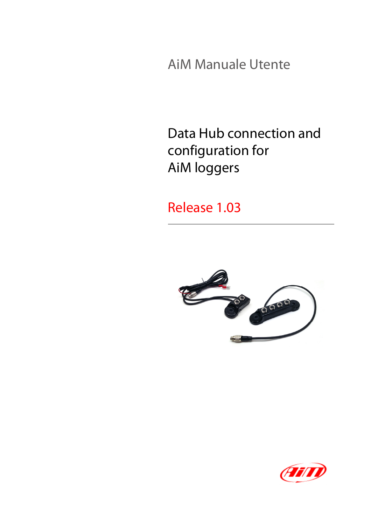AiM Manuale Utente

Data Hub connection and configuration for AiM loggers

Release 1.03



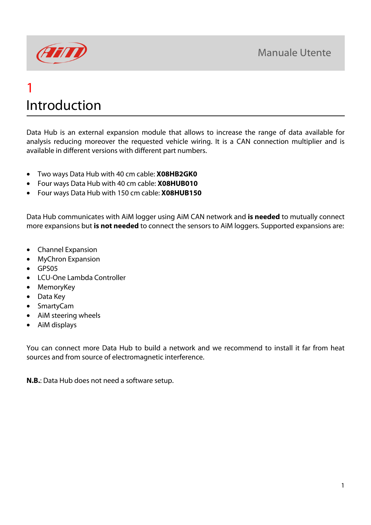

## 1 Introduction

Data Hub is an external expansion module that allows to increase the range of data available for analysis reducing moreover the requested vehicle wiring. It is a CAN connection multiplier and is available in different versions with different part numbers.

- Two ways Data Hub with 40 cm cable: **X08HB2GK0**
- Four ways Data Hub with 40 cm cable: **X08HUB010**
- Four ways Data Hub with 150 cm cable: **X08HUB150**

Data Hub communicates with AiM logger using AiM CAN network and **is needed** to mutually connect more expansions but **is not needed** to connect the sensors to AiM loggers. Supported expansions are:

- Channel Expansion
- MyChron Expansion
- GPS05
- LCU-One Lambda Controller
- MemoryKey
- Data Key
- SmartyCam
- AiM steering wheels
- AiM displays

You can connect more Data Hub to build a network and we recommend to install it far from heat sources and from source of electromagnetic interference.

**N.B.**: Data Hub does not need a software setup.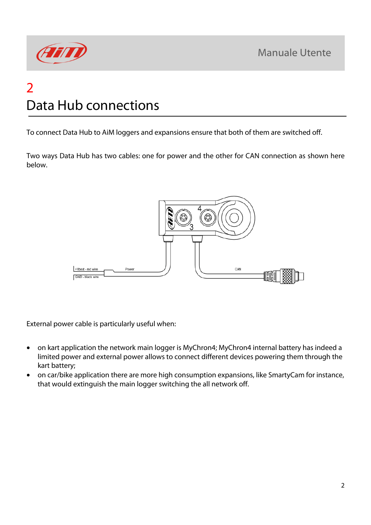

# 2 Data Hub connections

To connect Data Hub to AiM loggers and expansions ensure that both of them are switched off.

Two ways Data Hub has two cables: one for power and the other for CAN connection as shown here below.



External power cable is particularly useful when:

- on kart application the network main logger is MyChron4; MyChron4 internal battery has indeed a limited power and external power allows to connect different devices powering them through the kart battery;
- on car/bike application there are more high consumption expansions, like SmartyCam for instance, that would extinguish the main logger switching the all network off.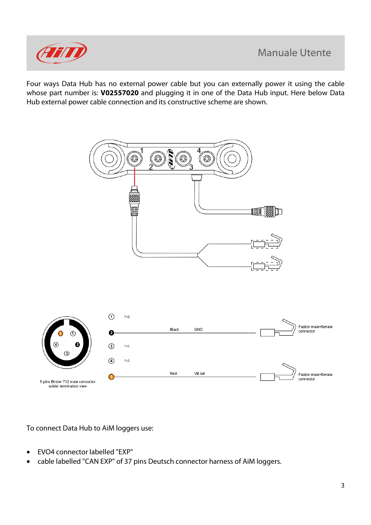

Four ways Data Hub has no external power cable but you can externally power it using the cable whose part number is: **V02557020** and plugging it in one of the Data Hub input. Here below Data Hub external power cable connection and its constructive scheme are shown.



To connect Data Hub to AiM loggers use:

- EVO4 connector labelled "EXP"
- cable labelled "CAN EXP" of 37 pins Deutsch connector harness of AiM loggers.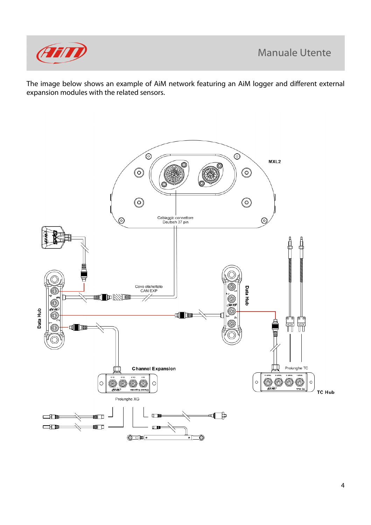

The image below shows an example of AiM network featuring an AiM logger and different external expansion modules with the related sensors.

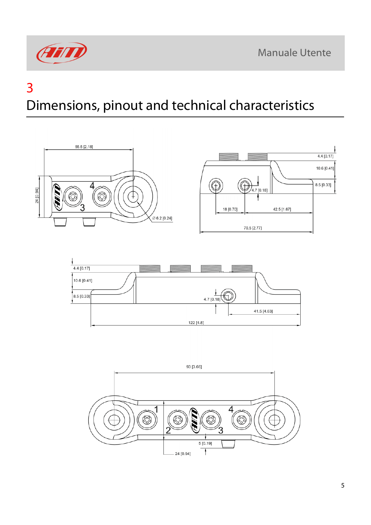

### 3

# Dimensions, pinout and technical characteristics